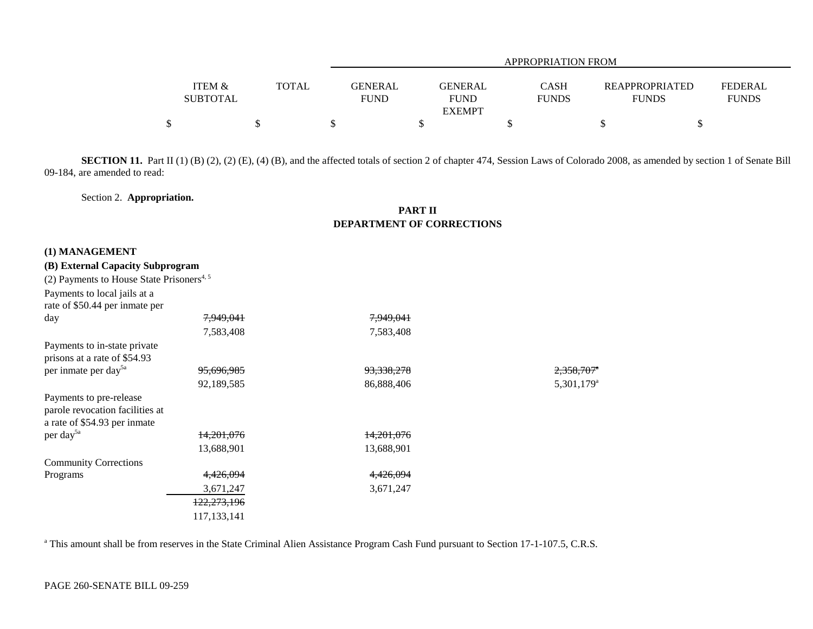|                                      |              | APPROPRIATION FROM                                      |                             |  |                                       |                                |  |  |  |  |
|--------------------------------------|--------------|---------------------------------------------------------|-----------------------------|--|---------------------------------------|--------------------------------|--|--|--|--|
| <b>ITEM &amp;</b><br><b>SUBTOTAL</b> | <b>TOTAL</b> | GENERAL<br><b>GENERAL</b><br><b>FUND</b><br><b>FUND</b> | <b>CASH</b><br><b>FUNDS</b> |  | <b>REAPPROPRIATED</b><br><b>FUNDS</b> | <b>FEDERAL</b><br><b>FUNDS</b> |  |  |  |  |
|                                      |              | <b>EXEMPT</b>                                           |                             |  |                                       |                                |  |  |  |  |
|                                      |              |                                                         |                             |  |                                       |                                |  |  |  |  |

**SECTION 11.** Part II (1) (B) (2), (2) (E), (4) (B), and the affected totals of section 2 of chapter 474, Session Laws of Colorado 2008, as amended by section 1 of Senate Bill 09-184, are amended to read:

Section 2. **Appropriation.**

## **PART IIDEPARTMENT OF CORRECTIONS**

## **(1) MANAGEMENT**

## **(B) External Capacity Subprogram**

| (2) Payments to House State Prisoners <sup>4, 5</sup> |                        |                       |                        |
|-------------------------------------------------------|------------------------|-----------------------|------------------------|
| Payments to local jails at a                          |                        |                       |                        |
| rate of \$50.44 per inmate per                        |                        |                       |                        |
| day                                                   | <del>7,949,041</del>   | 7,949,041             |                        |
|                                                       | 7,583,408              | 7,583,408             |                        |
| Payments to in-state private                          |                        |                       |                        |
| prisons at a rate of \$54.93                          |                        |                       |                        |
| per inmate per day <sup>5a</sup>                      | <del>95,696,985</del>  | <del>93,338,278</del> | 2,358,707              |
|                                                       | 92,189,585             | 86,888,406            | 5,301,179 <sup>a</sup> |
| Payments to pre-release                               |                        |                       |                        |
| parole revocation facilities at                       |                        |                       |                        |
| a rate of \$54.93 per inmate                          |                        |                       |                        |
| per day <sup>5a</sup>                                 | <del>14,201,076</del>  | <del>14,201,076</del> |                        |
|                                                       | 13,688,901             | 13,688,901            |                        |
| <b>Community Corrections</b>                          |                        |                       |                        |
| Programs                                              | 4,426,094              | 4,426,094             |                        |
|                                                       | 3,671,247              | 3,671,247             |                        |
|                                                       | <del>122,273,196</del> |                       |                        |
|                                                       | 117, 133, 141          |                       |                        |

<sup>a</sup> This amount shall be from reserves in the State Criminal Alien Assistance Program Cash Fund pursuant to Section 17-1-107.5, C.R.S.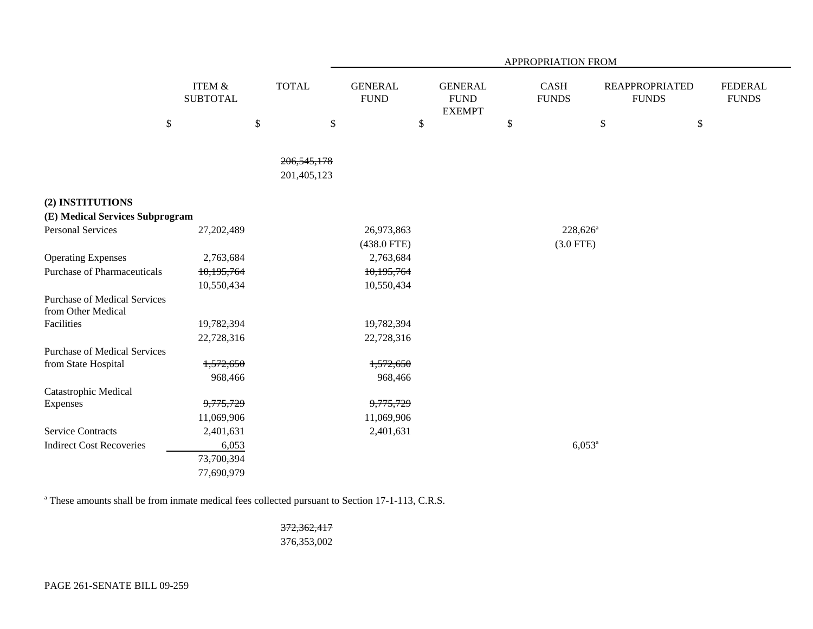|                                                           |                                      |                           |                               | APPROPRIATION FROM                             |                             |                                       |                                |  |  |  |
|-----------------------------------------------------------|--------------------------------------|---------------------------|-------------------------------|------------------------------------------------|-----------------------------|---------------------------------------|--------------------------------|--|--|--|
|                                                           | <b>ITEM &amp;</b><br><b>SUBTOTAL</b> | <b>TOTAL</b>              | <b>GENERAL</b><br><b>FUND</b> | <b>GENERAL</b><br><b>FUND</b><br><b>EXEMPT</b> | <b>CASH</b><br><b>FUNDS</b> | <b>REAPPROPRIATED</b><br><b>FUNDS</b> | <b>FEDERAL</b><br><b>FUNDS</b> |  |  |  |
|                                                           | $\$$                                 | $\boldsymbol{\mathsf{S}}$ | \$<br>\$                      |                                                | \$                          | $\boldsymbol{\mathsf{S}}$             | $\$\,$                         |  |  |  |
|                                                           |                                      |                           |                               |                                                |                             |                                       |                                |  |  |  |
|                                                           |                                      | 206, 545, 178             |                               |                                                |                             |                                       |                                |  |  |  |
|                                                           |                                      | 201,405,123               |                               |                                                |                             |                                       |                                |  |  |  |
| (2) INSTITUTIONS                                          |                                      |                           |                               |                                                |                             |                                       |                                |  |  |  |
| (E) Medical Services Subprogram                           |                                      |                           |                               |                                                |                             |                                       |                                |  |  |  |
| <b>Personal Services</b>                                  | 27,202,489                           |                           | 26,973,863                    |                                                |                             | $228,626^{\circ}$                     |                                |  |  |  |
|                                                           |                                      |                           | $(438.0$ FTE)                 |                                                | $(3.0$ FTE)                 |                                       |                                |  |  |  |
| <b>Operating Expenses</b>                                 | 2,763,684                            |                           | 2,763,684                     |                                                |                             |                                       |                                |  |  |  |
| <b>Purchase of Pharmaceuticals</b>                        | 10,195,764                           |                           | 10,195,764                    |                                                |                             |                                       |                                |  |  |  |
|                                                           | 10,550,434                           |                           | 10,550,434                    |                                                |                             |                                       |                                |  |  |  |
| <b>Purchase of Medical Services</b><br>from Other Medical |                                      |                           |                               |                                                |                             |                                       |                                |  |  |  |
| Facilities                                                | 19,782,394                           |                           | 19,782,394                    |                                                |                             |                                       |                                |  |  |  |
|                                                           | 22,728,316                           |                           | 22,728,316                    |                                                |                             |                                       |                                |  |  |  |
| <b>Purchase of Medical Services</b>                       |                                      |                           |                               |                                                |                             |                                       |                                |  |  |  |
| from State Hospital                                       | 1,572,650                            |                           | 1,572,650                     |                                                |                             |                                       |                                |  |  |  |
|                                                           | 968,466                              |                           | 968,466                       |                                                |                             |                                       |                                |  |  |  |
| Catastrophic Medical                                      |                                      |                           |                               |                                                |                             |                                       |                                |  |  |  |
| Expenses                                                  | 9,775,729                            |                           | 9,775,729                     |                                                |                             |                                       |                                |  |  |  |
|                                                           | 11,069,906                           |                           | 11,069,906                    |                                                |                             |                                       |                                |  |  |  |
| <b>Service Contracts</b>                                  | 2,401,631                            |                           | 2,401,631                     |                                                |                             |                                       |                                |  |  |  |
| <b>Indirect Cost Recoveries</b>                           | 6,053                                |                           |                               |                                                |                             | $6,053^a$                             |                                |  |  |  |
|                                                           | 73,700,394                           |                           |                               |                                                |                             |                                       |                                |  |  |  |
|                                                           | 77,690,979                           |                           |                               |                                                |                             |                                       |                                |  |  |  |

<sup>a</sup> These amounts shall be from inmate medical fees collected pursuant to Section 17-1-113, C.R.S.

372,362,417 376,353,002